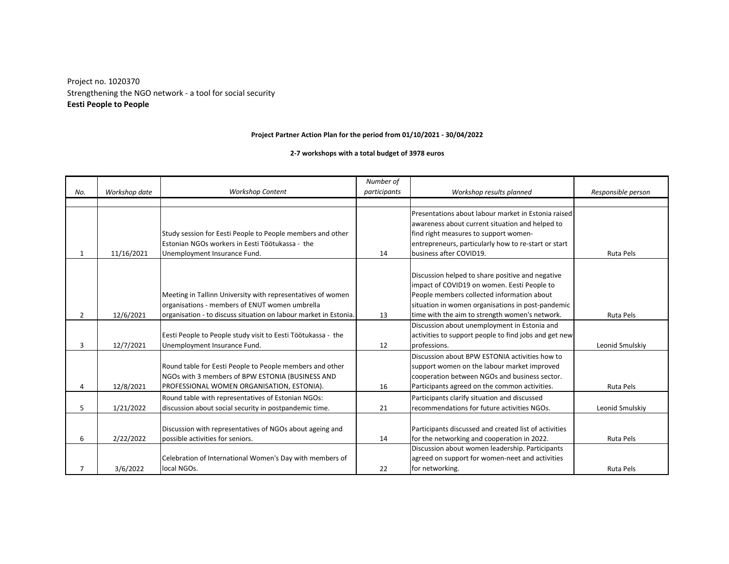Strengthening the NGO network - a tool for social security Project no. 1020370 **Eesti People to People**

## **Project Partner Action Plan for the period from 01/10/2021 - 30/04/2022**

## **2-7 workshops with a total budget of 3978 euros**

| No. | Workshop date | <b>Workshop Content</b>                                                                                                                                                           | Number of<br>participants | Workshop results planned                                                                                                                                                                                                                             | Responsible person |
|-----|---------------|-----------------------------------------------------------------------------------------------------------------------------------------------------------------------------------|---------------------------|------------------------------------------------------------------------------------------------------------------------------------------------------------------------------------------------------------------------------------------------------|--------------------|
|     |               |                                                                                                                                                                                   |                           |                                                                                                                                                                                                                                                      |                    |
| 1   | 11/16/2021    | Study session for Eesti People to People members and other<br>Estonian NGOs workers in Eesti Töötukassa - the<br>Unemployment Insurance Fund.                                     | 14                        | Presentations about labour market in Estonia raised<br>awareness about current situation and helped to<br>find right measures to support women-<br>entrepreneurs, particularly how to re-start or start<br>business after COVID19.                   | Ruta Pels          |
| 2   | 12/6/2021     | Meeting in Tallinn University with representatives of women<br>organisations - members of ENUT women umbrella<br>organisation - to discuss situation on labour market in Estonia. | 13                        | Discussion helped to share positive and negative<br>impact of COVID19 on women. Eesti People to<br>People members collected information about<br>situation in women organisations in post-pandemic<br>time with the aim to strength women's network. | Ruta Pels          |
| 3   | 12/7/2021     | Eesti People to People study visit to Eesti Töötukassa - the<br>Unemployment Insurance Fund.                                                                                      | 12                        | Discussion about unemployment in Estonia and<br>activities to support people to find jobs and get new<br>professions.                                                                                                                                | Leonid Smulskiy    |
| 4   | 12/8/2021     | Round table for Eesti People to People members and other<br>NGOs with 3 members of BPW ESTONIA (BUSINESS AND<br>PROFESSIONAL WOMEN ORGANISATION, ESTONIA).                        | 16                        | Discussion about BPW ESTONIA activities how to<br>support women on the labour market improved<br>cooperation between NGOs and business sector.<br>Participants agreed on the common activities.                                                      | Ruta Pels          |
| 5   | 1/21/2022     | Round table with representatives of Estonian NGOs:<br>discussion about social security in postpandemic time.                                                                      | 21                        | Participants clarify situation and discussed<br>recommendations for future activities NGOs.                                                                                                                                                          | Leonid Smulskiy    |
| 6   | 2/22/2022     | Discussion with representatives of NGOs about ageing and<br>possible activities for seniors.                                                                                      | 14                        | Participants discussed and created list of activities<br>for the networking and cooperation in 2022.                                                                                                                                                 | Ruta Pels          |
| 7   | 3/6/2022      | Celebration of International Women's Day with members of<br>local NGOs.                                                                                                           | 22                        | Discussion about women leadership. Participants<br>agreed on support for women-neet and activities<br>for networking.                                                                                                                                | Ruta Pels          |